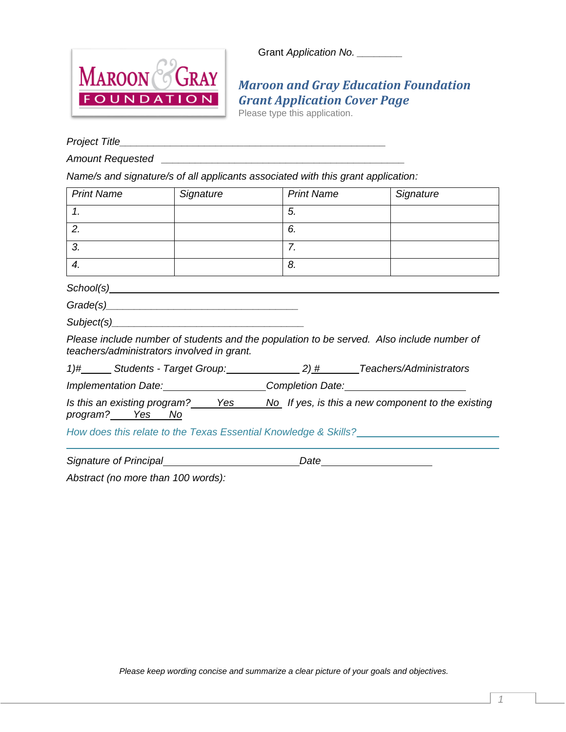Grant *Application No.* \_\_\_\_\_\_\_\_



## *Maroon and Gray Education Foundation Grant Application Cover Page*

Please type this application.

*Project Title\_\_\_\_\_\_\_\_\_\_\_\_\_\_\_\_\_\_\_\_\_\_\_\_\_\_\_\_\_\_\_\_\_\_\_\_\_\_\_\_\_\_\_\_\_\_\_*

*Amount Requested \_\_\_\_\_\_\_\_\_\_\_\_\_\_\_\_\_\_\_\_\_\_\_\_\_\_\_\_\_\_\_\_\_\_\_\_\_\_\_\_\_\_\_*

*Name/s and signature/s of all applicants associated with this grant application:*

| <b>Print Name</b>                                                                                      | Signature | <b>Print Name</b>                                      | Signature                                                                                 |
|--------------------------------------------------------------------------------------------------------|-----------|--------------------------------------------------------|-------------------------------------------------------------------------------------------|
| $\mathcal{I}$ .                                                                                        |           | 5.                                                     |                                                                                           |
| 2.                                                                                                     |           | 6.                                                     |                                                                                           |
| 3.                                                                                                     |           | 7.                                                     |                                                                                           |
| $\overline{4}$ .                                                                                       |           | 8.                                                     |                                                                                           |
| School(s)                                                                                              |           |                                                        |                                                                                           |
|                                                                                                        |           |                                                        |                                                                                           |
| Subject(s) Subject(s)                                                                                  |           |                                                        |                                                                                           |
| teachers/administrators involved in grant.                                                             |           |                                                        | Please include number of students and the population to be served. Also include number of |
|                                                                                                        |           |                                                        | 1)# Students - Target Group: 2) # Teachers/Administrators                                 |
|                                                                                                        |           | Implementation Date: Completion Date: Completion Date: |                                                                                           |
| Is this an existing program? Yes No If yes, is this a new component to the existing<br>program? Yes No |           |                                                        |                                                                                           |
| How does this relate to the Texas Essential Knowledge & Skills?                                        |           |                                                        |                                                                                           |

*Signature of Principal Date*

*Abstract (no more than 100 words):*

*Please keep wording concise and summarize a clear picture of your goals and objectives.*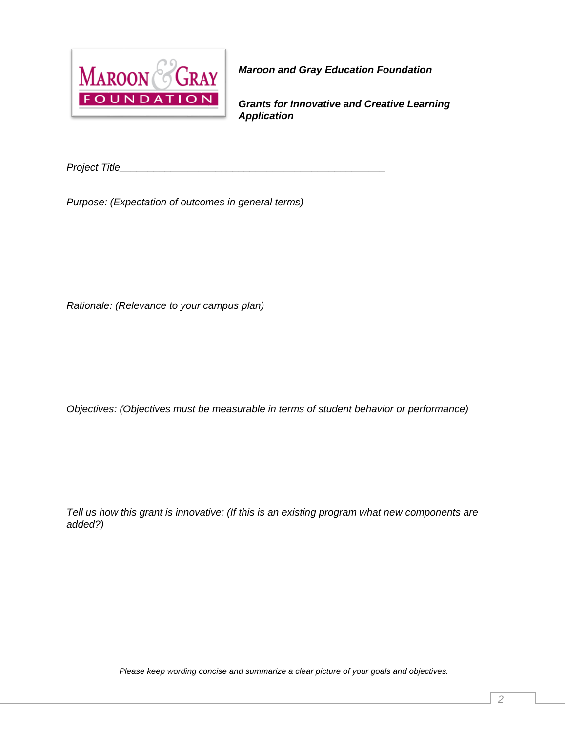

*Maroon and Gray Education Foundation*

*Grants for Innovative and Creative Learning Application*

*Project Title\_\_\_\_\_\_\_\_\_\_\_\_\_\_\_\_\_\_\_\_\_\_\_\_\_\_\_\_\_\_\_\_\_\_\_\_\_\_\_\_\_\_\_\_\_\_\_*

*Purpose: (Expectation of outcomes in general terms)*

*Rationale: (Relevance to your campus plan)*

*Objectives: (Objectives must be measurable in terms of student behavior or performance)*

*Tell us how this grant is innovative: (If this is an existing program what new components are added?)*

*Please keep wording concise and summarize a clear picture of your goals and objectives.*